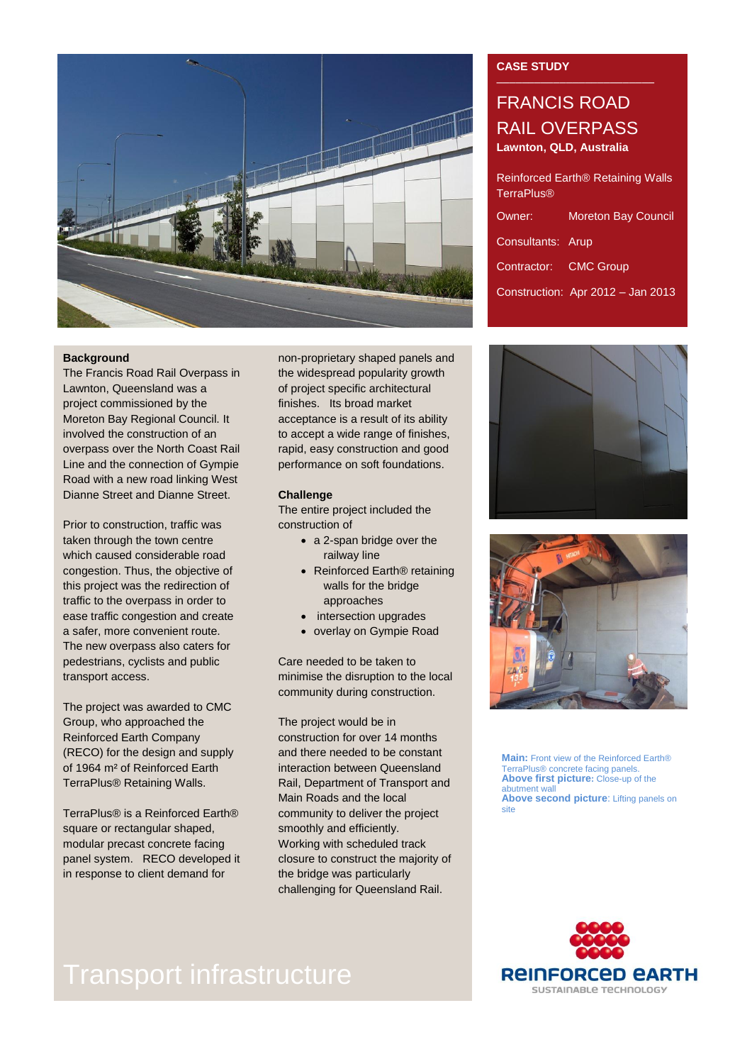

### **Background**

The Francis Road Rail Overpass in Lawnton, Queensland was a project commissioned by the Moreton Bay Regional Council. It involved the construction of an overpass over the North Coast Rail Line and the connection of Gympie Road with a new road linking West Dianne Street and Dianne Street.

Prior to construction, traffic was taken through the town centre which caused considerable road congestion. Thus, the objective of this project was the redirection of traffic to the overpass in order to ease traffic congestion and create a safer, more convenient route. The new overpass also caters for pedestrians, cyclists and public transport access.

The project was awarded to CMC Group, who approached the Reinforced Earth Company (RECO) for the design and supply of 1964 m² of Reinforced Earth TerraPlus® Retaining Walls.

TerraPlus® is a Reinforced Earth® square or rectangular shaped, modular precast concrete facing panel system. RECO developed it in response to client demand for

non-proprietary shaped panels and the widespread popularity growth of project specific architectural finishes. Its broad market acceptance is a result of its ability to accept a wide range of finishes, rapid, easy construction and good performance on soft foundations.

### **Challenge**

The entire project included the construction of

- a 2-span bridge over the railway line
- Reinforced Earth<sup>®</sup> retaining walls for the bridge approaches
- intersection upgrades
- overlay on Gympie Road

Care needed to be taken to minimise the disruption to the local community during construction.

The project would be in construction for over 14 months and there needed to be constant interaction between Queensland Rail, Department of Transport and Main Roads and the local community to deliver the project smoothly and efficiently. Working with scheduled track closure to construct the majority of the bridge was particularly challenging for Queensland Rail.

### **CASE STUDY**

## FRANCIS ROAD RAIL OVERPASS **Lawnton, QLD, Australia**

| Reinforced Earth <sup>®</sup> Retaining Walls<br><b>TerraPlus®</b> |                                   |
|--------------------------------------------------------------------|-----------------------------------|
| Owner:                                                             | <b>Moreton Bay Council</b>        |
| Consultants: Arup                                                  |                                   |
| Contractor: CMC Group                                              |                                   |
|                                                                    | Construction: Apr 2012 - Jan 2013 |





**Main:** Front view of the Reinforced Earth® TerraPlus® concrete facing panels. **Above first picture:** Close-up of the abutment wall **Above second picture**: Lifting panels on site



# Transport infrastructure